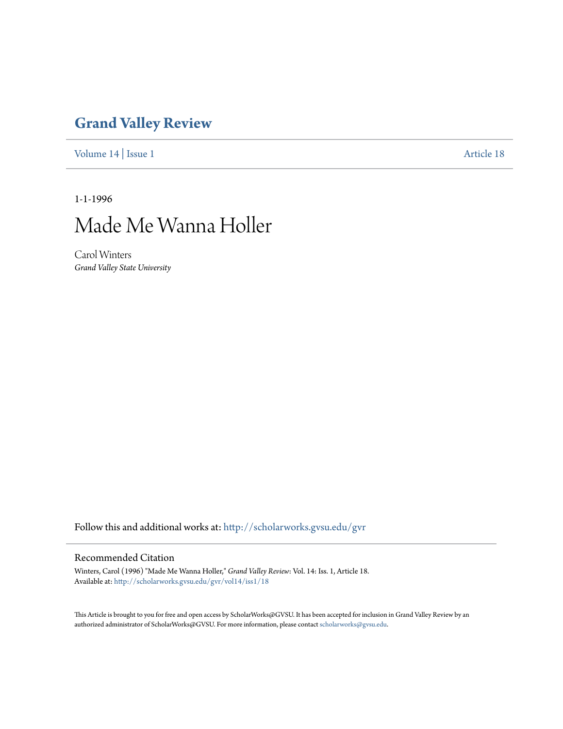## **[Grand Valley Review](http://scholarworks.gvsu.edu/gvr?utm_source=scholarworks.gvsu.edu%2Fgvr%2Fvol14%2Fiss1%2F18&utm_medium=PDF&utm_campaign=PDFCoverPages)**

[Volume 14](http://scholarworks.gvsu.edu/gvr/vol14?utm_source=scholarworks.gvsu.edu%2Fgvr%2Fvol14%2Fiss1%2F18&utm_medium=PDF&utm_campaign=PDFCoverPages) | [Issue 1](http://scholarworks.gvsu.edu/gvr/vol14/iss1?utm_source=scholarworks.gvsu.edu%2Fgvr%2Fvol14%2Fiss1%2F18&utm_medium=PDF&utm_campaign=PDFCoverPages) [Article 18](http://scholarworks.gvsu.edu/gvr/vol14/iss1/18?utm_source=scholarworks.gvsu.edu%2Fgvr%2Fvol14%2Fiss1%2F18&utm_medium=PDF&utm_campaign=PDFCoverPages)

1-1-1996



Carol Winters *Grand Valley State University*

Follow this and additional works at: [http://scholarworks.gvsu.edu/gvr](http://scholarworks.gvsu.edu/gvr?utm_source=scholarworks.gvsu.edu%2Fgvr%2Fvol14%2Fiss1%2F18&utm_medium=PDF&utm_campaign=PDFCoverPages)

## Recommended Citation

Winters, Carol (1996) "Made Me Wanna Holler," *Grand Valley Review*: Vol. 14: Iss. 1, Article 18. Available at: [http://scholarworks.gvsu.edu/gvr/vol14/iss1/18](http://scholarworks.gvsu.edu/gvr/vol14/iss1/18?utm_source=scholarworks.gvsu.edu%2Fgvr%2Fvol14%2Fiss1%2F18&utm_medium=PDF&utm_campaign=PDFCoverPages)

This Article is brought to you for free and open access by ScholarWorks@GVSU. It has been accepted for inclusion in Grand Valley Review by an authorized administrator of ScholarWorks@GVSU. For more information, please contact [scholarworks@gvsu.edu.](mailto:scholarworks@gvsu.edu)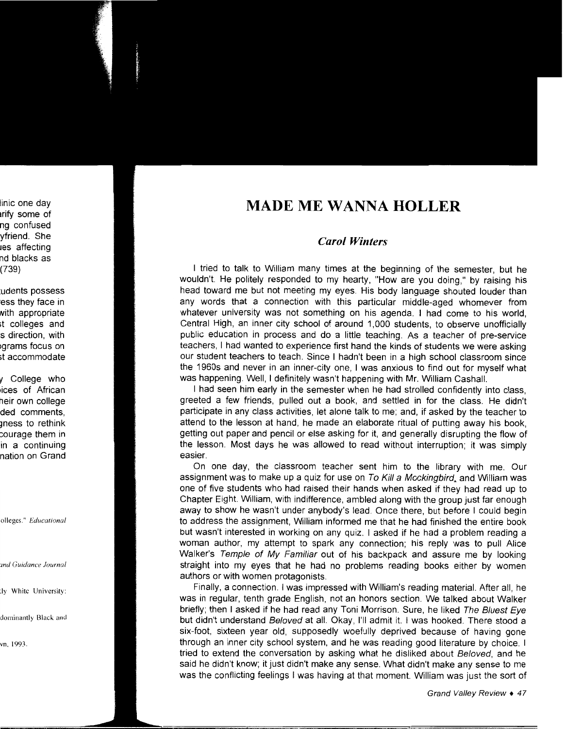## **MADE ME WANNA HOLLER**

## *Carol Winters*

I tried to talk to William many times at the beginning of the semester, but he wouldn't. He politely responded to my hearty, "How are you doing," by raising his head toward me but not meeting my eyes. His body language shouted louder than any words that a connection with this particular middle-aged whomever from whatever university was not something on his agenda. I had come to his world, Central High, an inner city school of around 1,000 students, to observe unofficially public education in process and do a little teaching. As a teacher of pre-service teachers, I had wanted to experience first hand the kinds of students we were asking our student teachers to teach. Since I hadn't been in a high school classroom since the 1960s and never in an inner-city one, I was anxious to find out for myself what was happening. Well, I definitely wasn't happening with Mr. William Cashall.

I had seen him early in the semester when he had strolled confidently into class, greeted a few friends, pulled out a book, and settled in for the class. He didn't participate in any class activities, let alone talk to me; and, if asked by the teacher to attend to the lesson at hand, he made an elaborate ritual of putting away his book, getting out paper and pencil or else asking for it, and generally disrupting the flow of the lesson. Most days he was allowed to read without interruption; it was simply easier.

On one day, the classroom teacher sent him to the library with me. Our assignment was to make up a quiz for use on To Kill a Mockingbird, and William was one of five students who had raised their hands when asked if they had read up to Chapter Eight. William, with indifference, ambled along with the group just far enough away to show he wasn't under anybody's lead. Once there, but before I could begin to address the assignment, William informed me that he had finished the entire book but wasn't interested in working on any quiz. I asked if he had a problem reading a woman author, my attempt to spark any connection; his reply was to pull Alice Walker's Temple of My Familiar out of his backpack and assure me by looking straight into my eyes that he had no problems reading books either by women authors or with women protagonists.

Finally, a connection. I was impressed with William's reading material. After all, he was in regular, tenth grade English, not an honors section. We talked about Walker briefly; then I asked if he had read any Toni Morrison. Sure, he liked The Bluest Eye but didn't understand Beloved at all. Okay, I'll admit it. I was hooked. There stood a six-foot, sixteen year old, supposedly woefully deprived because of having gone through an inner city school system, and he was reading good literature by choice. I tried to extend the conversation by asking what he disliked about Beloved, and he said he didn't know; it just didn't make any sense. What didn't make any sense to me was the conflicting feelings I was having at that moment. William was just the sort of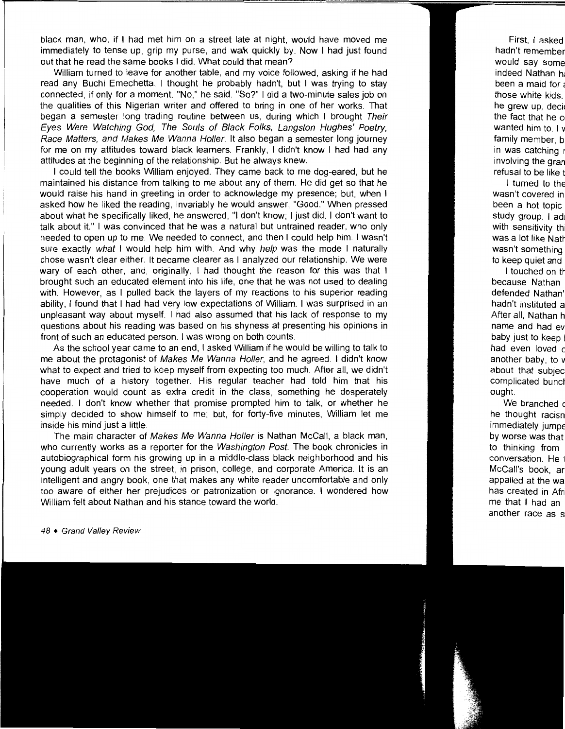black man, who, if I had met him on a street late at night, would have moved me immediately to tense up, grip my purse, and walk quickly by. Now I had just found out that he read the same books I did. What could that mean?

William turned to leave for another table, and my voice followed, asking if he had read any Buchi Emechetta. I thought he probably hadn't, but I was trying to stay connected, if only for a moment. "No," he said. "So?" I did a two-minute sales job on the qualities of this Nigerian writer and offered to bring in one of her works. That began a semester long trading routine between us, during which I brought Their Eyes Were Watching God, The Souls of Black Folks, Langston Hughes' Poetry, Race Matters, and Makes Me Wanna Holler. It also began a semester long journey for me on my attitudes toward black learners. Frankly, I didn't know I had had any attitudes at the beginning of the relationship. But he always knew.

I could tell the books William enjoyed. They came back to me dog-eared, but he maintained his distance from talking to me about any of them. He did get so that he would raise his hand in greeting in order to acknowledge my presence; but, when I asked how he liked the reading, invariably he would answer, "Good." When pressed about what he specifically liked, he answered, "I don't know; I just did. I don't want to talk about it." I was convinced that he was a natural but untrained reader, who only needed to open up to me. We needed to connect, and then I could help him. I wasn't sure exactly what I would help him with. And why help was the mode I naturally chose wasn't clear either. It became clearer as I analyzed our relationship. We were wary of each other, and, originally, I had thought the reason for this was that I brought such an educated element into his life, one that he was not used to dealing with. However, as I pulled back the layers of my reactions to his superior reading ability, I found that I had had very low expectations of William. I was surprised in an unpleasant way about myself. I had also assumed that his lack of response to my questions about his reading was based on his shyness at presenting his opinions in front of such an educated person. I was wrong on both counts.

As the school year came to an end, I asked William if he would be willing to talk to me about the protagonist of Makes Me Wanna Holler, and he agreed. I didn't know what to expect and tried to keep myself from expecting too much. After all, we didn't have much of a history together. His regular teacher had told him that his cooperation would count as extra credit in the class, something he desperately needed. I don't know whether that promise prompted him to talk, or whether he simply decided to show himself to me; but, for forty-five minutes, William let me inside his mind just a little.

The main character of Makes Me Wanna Holler is Nathan McCall, a black man, who currently works as a reporter for the Washington Post. The book chronicles in autobiographical form his growing up in a middle-class black neighborhood and his young adult years on the street, in prison, college, and corporate America. It is an intelligent and angry book, one that makes any white reader uncomfortable and only too aware of either her prejudices or patronization or ignorance. I wondered how William felt about Nathan and his stance toward the world.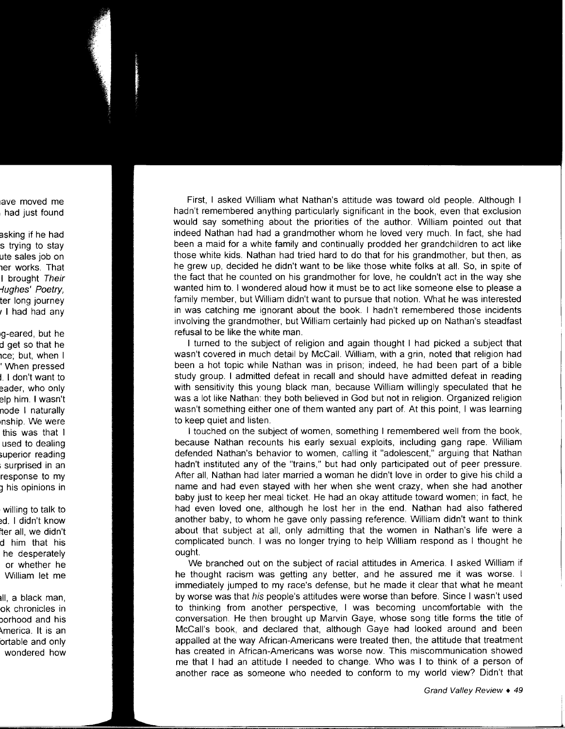First, I asked William what Nathan's attitude was toward old people. Although I hadn't remembered anything particularly significant in the book, even that exclusion would say something about the priorities of the author. William pointed out that indeed Nathan had had a grandmother whom he loved very much. In fact, she had been a maid for a white family and continually prodded her grandchildren to act like those white kids. Nathan had tried hard to do that for his grandmother, but then, as he grew up, decided he didn't want to be like those white folks at all. So, in spite of the fact that he counted on his grandmother for love, he couldn't act in the way she wanted him to. I wondered aloud how it must be to act like someone else to please a family member, but William didn't want to pursue that notion. What he was interested in was catching me ignorant about the book. I hadn't remembered those incidents involving the grandmother, but William certainly had picked up on Nathan's steadfast refusal to be like the white man.

I turned to the subject of religion and again thought I had picked a subject that wasn't covered in much detail by McCall. William, with a grin, noted that religion had been a hot topic while Nathan was in prison; indeed, he had been part of a bible study group. I admitted defeat in recall and should have admitted defeat in reading with sensitivity this young black man, because William willingly speculated that he was a lot like Nathan: they both believed in God but not in religion. Organized religion wasn't something either one of them wanted any part of. At this point, I was learning to keep quiet and listen.

I touched on the subject of women, something I remembered well from the book, because Nathan recounts his early sexual exploits, including gang rape. William defended Nathan's behavior to women, calling it "adolescent," arguing that Nathan hadn't instituted any of the "trains," but had only participated out of peer pressure. After all, Nathan had later married a woman he didn't love in order to give his child a name and had even stayed with her when she went crazy, when she had another baby just to keep her meal ticket. He had an okay attitude toward women; in fact, he had even loved one, although he lost her in the end. Nathan had also fathered another baby, to whom he gave only passing reference. William didn't want to think about that subject at all, only admitting that the women in Nathan's life were a complicated bunch. I was no longer trying to help William respond as I thought he ought.

We branched out on the subject of racial attitudes in America. I asked William if he thought racism was getting any better, and he assured me it was worse. I immediately jumped to my race's defense, but he made it clear that what he meant by worse was that his people's attitudes were worse than before. Since I wasn't used to thinking from another perspective, I was becoming uncomfortable with the conversation. He then brought up Marvin Gaye, whose song title forms the title of McCall's book, and declared that, although Gaye had looked around and been appalled at the way African-Americans were treated then, the attitude that treatment has created in African-Americans was worse now. This miscommunication showed me that I had an attitude I needed to change. Who was I to think of a person of another race as someone who needed to conform to my world view? Didn't that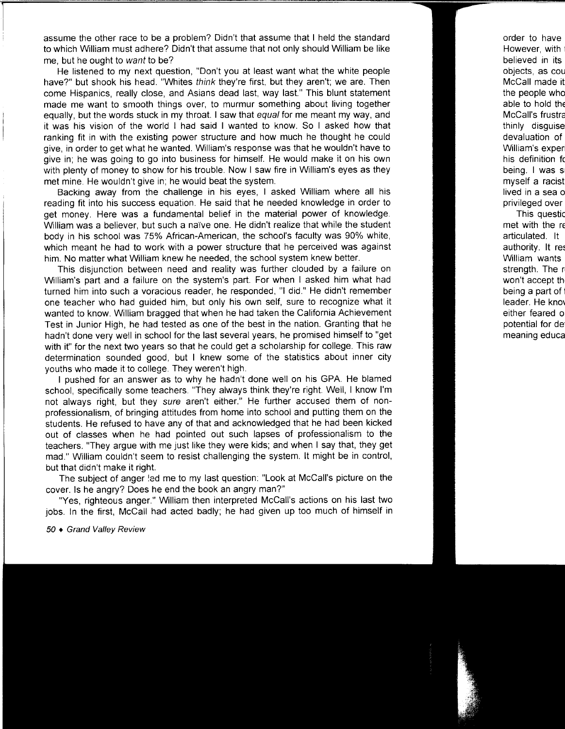assume the other race to be a problem? Didn't that assume that I held the standard to which William must adhere? Didn't that assume that not only should William be like me, but he ought to want to be?

He listened to my next question, "Don't you at least want what the white people have?" but shook his head. "Whites think they're first, but they aren't; we are. Then come Hispanics, really close, and Asians dead last, way last." This blunt statement made me want to smooth things over, to murmur something about living together equally, but the words stuck in my throat. I saw that equal for me meant my way, and it was his vision of the world I had said I wanted to know. So I asked how that ranking fit in with the existing power structure and how much he thought he could give, in order to get what he wanted. William's response was that he wouldn't have to give in; he was going to go into business for himself. He would make it on his own with plenty of money to show for his trouble. Now I saw fire in William's eyes as they met mine. He wouldn't give in; he would beat the system.

Backing away from the challenge in his eyes, I asked William where all his reading fit into his success equation. He said that he needed knowledge in order to get money. Here was a fundamental belief in the material power of knowledge. William was a believer, but such a naïve one. He didn't realize that while the student body in his school was 75% African-American, the school's faculty was 90% white, which meant he had to work with a power structure that he perceived was against him. No matter what William knew he needed, the school system knew better.

This disjunction between need and reality was further clouded by a failure on William's part and a failure on the system's part. For when I asked him what had turned him into such a voracious reader, he responded, "I did." He didn't remember one teacher who had guided him, but only his own self, sure to recognize what it wanted to know. William bragged that when he had taken the California Achievement Test in Junior High, he had tested as one of the best in the nation. Granting that he hadn't done very well in school for the last several years, he promised himself to "get with it" for the next two years so that he could get a scholarship for college. This raw determination sounded good, but I knew some of the statistics about inner city youths who made it to college. They weren't high.

I pushed for an answer as to why he hadn't done well on his GPA. He blamed school, specifically some teachers. "They always think they're right. Well, I know I'm not always right, but they sure aren't either." He further accused them of nonprofessionalism, of bringing attitudes from home into school and putting them on the students. He refused to have any of that and acknowledged that he had been kicked out of classes when he had pointed out such lapses of professionalism to the teachers. "They argue with me just like they were kids; and when I say that, they get mad." William couldn't seem to resist challenging the system. It might be in control, but that didn't make it right.

The subject of anger !ed me to my last question: "Look at McCall's picture on the cover. Is he angry? Does he end the book an angry man?"

"Yes, righteous anger." William then interpreted McCall's actions on his last two jobs. In the first, McCall had acted badly; he had given up too much of himself in